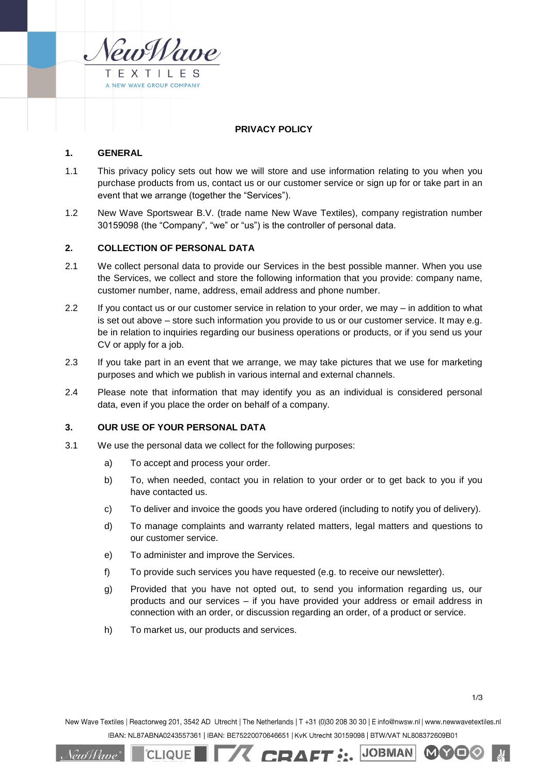

# **PRIVACY POLICY**

# **1. GENERAL**

- 1.1 This privacy policy sets out how we will store and use information relating to you when you purchase products from us, contact us or our customer service or sign up for or take part in an event that we arrange (together the "Services").
- 1.2 New Wave Sportswear B.V. (trade name New Wave Textiles), company registration number 30159098 (the "Company", "we" or "us") is the controller of personal data.

# **2. COLLECTION OF PERSONAL DATA**

- 2.1 We collect personal data to provide our Services in the best possible manner. When you use the Services, we collect and store the following information that you provide: company name, customer number, name, address, email address and phone number.
- 2.2 If you contact us or our customer service in relation to your order, we may in addition to what is set out above – store such information you provide to us or our customer service. It may e.g. be in relation to inquiries regarding our business operations or products, or if you send us your CV or apply for a job.
- 2.3 If you take part in an event that we arrange, we may take pictures that we use for marketing purposes and which we publish in various internal and external channels.
- 2.4 Please note that information that may identify you as an individual is considered personal data, even if you place the order on behalf of a company.

# **3. OUR USE OF YOUR PERSONAL DATA**

- <span id="page-0-0"></span>3.1 We use the personal data we collect for the following purposes:
	- a) To accept and process your order.
	- b) To, when needed, contact you in relation to your order or to get back to you if you have contacted us.
	- c) To deliver and invoice the goods you have ordered (including to notify you of delivery).
	- d) To manage complaints and warranty related matters, legal matters and questions to our customer service.
	- e) To administer and improve the Services.
	- f) To provide such services you have requested (e.g. to receive our newsletter).
	- g) Provided that you have not opted out, to send you information regarding us, our products and our services – if you have provided your address or email address in connection with an order, or discussion regarding an order, of a product or service.
	- h) To market us, our products and services.

**CLIQUE** 

 $1/3$ 

MY

New Wave Textiles | Reactorweg 201, 3542 AD Utrecht | The Netherlands | T +31 (0)30 208 30 30 | E info@nwsw.nl | www.newwavetextiles.nl IBAN: NL87ABNA0243557361 | IBAN: BE75220070646651 | KvK Utrecht 30159098 | BTW/VAT NL808372609B01

**TA CRAFT: JOBWAN** 

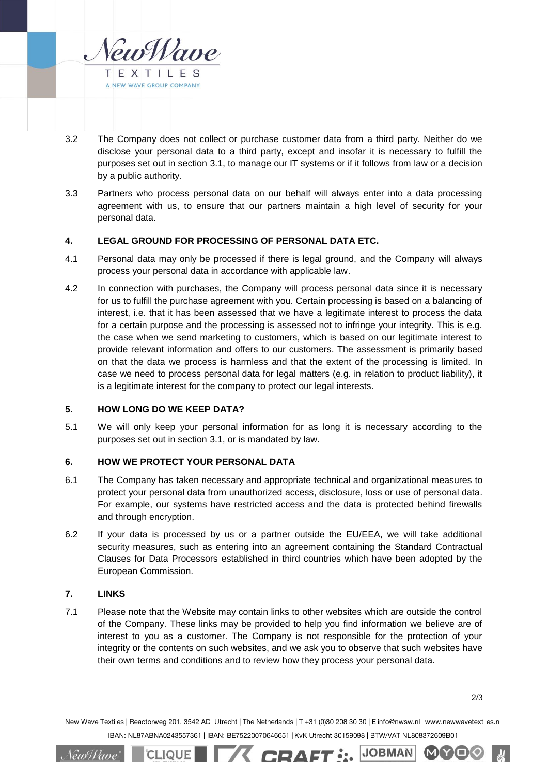

- 3.2 The Company does not collect or purchase customer data from a third party. Neither do we disclose your personal data to a third party, except and insofar it is necessary to fulfill the purposes set out in section [3.1,](#page-0-0) to manage our IT systems or if it follows from law or a decision by a public authority.
- 3.3 Partners who process personal data on our behalf will always enter into a data processing agreement with us, to ensure that our partners maintain a high level of security for your personal data.

# **4. LEGAL GROUND FOR PROCESSING OF PERSONAL DATA ETC.**

- 4.1 Personal data may only be processed if there is legal ground, and the Company will always process your personal data in accordance with applicable law.
- 4.2 In connection with purchases, the Company will process personal data since it is necessary for us to fulfill the purchase agreement with you. Certain processing is based on a balancing of interest, i.e. that it has been assessed that we have a legitimate interest to process the data for a certain purpose and the processing is assessed not to infringe your integrity. This is e.g. the case when we send marketing to customers, which is based on our legitimate interest to provide relevant information and offers to our customers. The assessment is primarily based on that the data we process is harmless and that the extent of the processing is limited. In case we need to process personal data for legal matters (e.g. in relation to product liability), it is a legitimate interest for the company to protect our legal interests.

#### **5. HOW LONG DO WE KEEP DATA?**

5.1 We will only keep your personal information for as long it is necessary according to the purposes set out in section [3.1,](#page-0-0) or is mandated by law.

# **6. HOW WE PROTECT YOUR PERSONAL DATA**

**CLIQUE** 

- 6.1 The Company has taken necessary and appropriate technical and organizational measures to protect your personal data from unauthorized access, disclosure, loss or use of personal data. For example, our systems have restricted access and the data is protected behind firewalls and through encryption.
- 6.2 If your data is processed by us or a partner outside the EU/EEA, we will take additional security measures, such as entering into an agreement containing the Standard Contractual Clauses for Data Processors established in third countries which have been adopted by the European Commission.

## **7. LINKS**

*\ew{{ane`* 

7.1 Please note that the Website may contain links to other websites which are outside the control of the Company. These links may be provided to help you find information we believe are of interest to you as a customer. The Company is not responsible for the protection of your integrity or the contents on such websites, and we ask you to observe that such websites have their own terms and conditions and to review how they process your personal data.

**JOBIMAN** 

MIY

New Wave Textiles | Reactorweg 201, 3542 AD Utrecht | The Netherlands | T +31 (0)30 208 30 30 | E info@nwsw.nl | www.newwavetextiles.nl IBAN: NL87ABNA0243557361 | IBAN: BE75220070646651 | KvK Utrecht 30159098 | BTW/VAT NL808372609B01

**TA CRAFT :..**